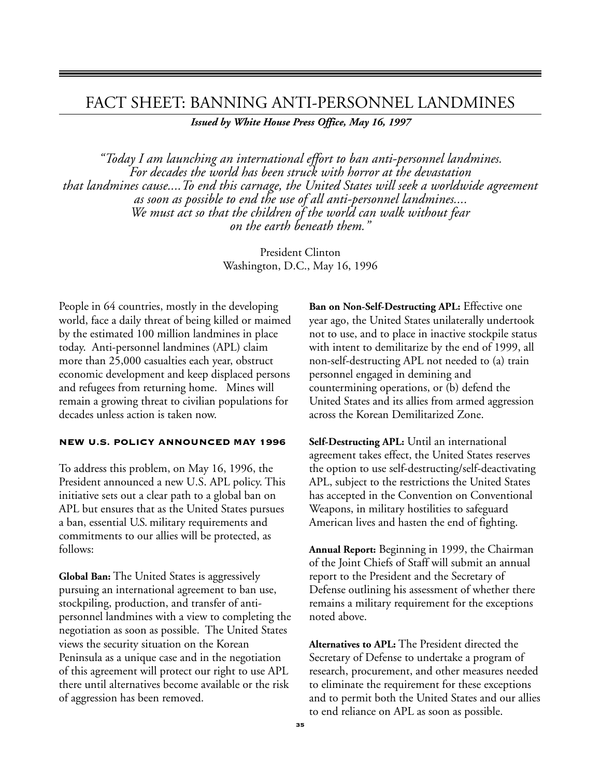# FACT SHEET: BANNING ANTI-PERSONNEL LANDMINES

*Issued by White House Press Office, May 16, 1997*

*"Today I am launching an international effort to ban anti-personnel landmines. For decades the world has been struck with horror at the devastation that landmines cause....To end this carnage, the United States will seek a worldwide agreement as soon as possible to end the use of all anti-personnel landmines.... We must act so that the children of the world can walk without fear on the earth beneath them."*

> President Clinton Washington, D.C., May 16, 1996

People in 64 countries, mostly in the developing world, face a daily threat of being killed or maimed by the estimated 100 million landmines in place today. Anti-personnel landmines (APL) claim more than 25,000 casualties each year, obstruct economic development and keep displaced persons and refugees from returning home. Mines will remain a growing threat to civilian populations for decades unless action is taken now.

#### NEW U.S. POLICY ANNOUNCED MAY 1996

To address this problem, on May 16, 1996, the President announced a new U.S. APL policy. This initiative sets out a clear path to a global ban on APL but ensures that as the United States pursues a ban, essential U.S. military requirements and commitments to our allies will be protected, as follows:

**Global Ban:** The United States is aggressively pursuing an international agreement to ban use, stockpiling, production, and transfer of antipersonnel landmines with a view to completing the negotiation as soon as possible. The United States views the security situation on the Korean Peninsula as a unique case and in the negotiation of this agreement will protect our right to use APL there until alternatives become available or the risk of aggression has been removed.

**Ban on Non-Self-Destructing APL:** Effective one year ago, the United States unilaterally undertook not to use, and to place in inactive stockpile status with intent to demilitarize by the end of 1999, all non-self-destructing APL not needed to (a) train personnel engaged in demining and countermining operations, or (b) defend the United States and its allies from armed aggression across the Korean Demilitarized Zone.

**Self-Destructing APL:** Until an international agreement takes effect, the United States reserves the option to use self-destructing/self-deactivating APL, subject to the restrictions the United States has accepted in the Convention on Conventional Weapons, in military hostilities to safeguard American lives and hasten the end of fighting.

**Annual Report:** Beginning in 1999, the Chairman of the Joint Chiefs of Staff will submit an annual report to the President and the Secretary of Defense outlining his assessment of whether there remains a military requirement for the exceptions noted above.

**Alternatives to APL:** The President directed the Secretary of Defense to undertake a program of research, procurement, and other measures needed to eliminate the requirement for these exceptions and to permit both the United States and our allies to end reliance on APL as soon as possible.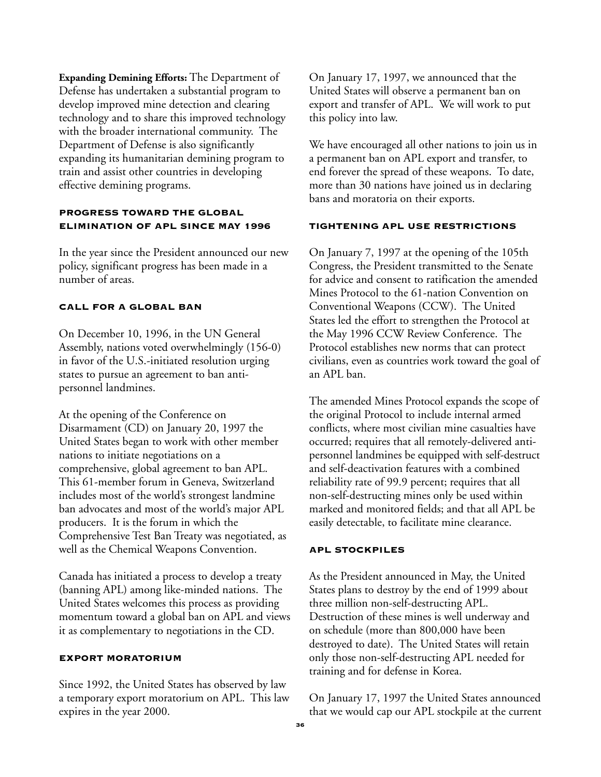**Expanding Demining Efforts:** The Department of Defense has undertaken a substantial program to develop improved mine detection and clearing technology and to share this improved technology with the broader international community. The Department of Defense is also significantly expanding its humanitarian demining program to train and assist other countries in developing effective demining programs.

### PROGRESS TOWARD THE GLOBAL ELIMINATION OF APL SINCE MAY 1996

In the year since the President announced our new policy, significant progress has been made in a number of areas.

#### CALL FOR A GLOBAL BAN

On December 10, 1996, in the UN General Assembly, nations voted overwhelmingly (156-0) in favor of the U.S.-initiated resolution urging states to pursue an agreement to ban antipersonnel landmines.

At the opening of the Conference on Disarmament (CD) on January 20, 1997 the United States began to work with other member nations to initiate negotiations on a comprehensive, global agreement to ban APL. This 61-member forum in Geneva, Switzerland includes most of the world's strongest landmine ban advocates and most of the world's major APL producers. It is the forum in which the Comprehensive Test Ban Treaty was negotiated, as well as the Chemical Weapons Convention.

Canada has initiated a process to develop a treaty (banning APL) among like-minded nations. The United States welcomes this process as providing momentum toward a global ban on APL and views it as complementary to negotiations in the CD.

#### EXPORT MORATORIUM

Since 1992, the United States has observed by law a temporary export moratorium on APL. This law expires in the year 2000.

On January 17, 1997, we announced that the United States will observe a permanent ban on export and transfer of APL. We will work to put this policy into law.

We have encouraged all other nations to join us in a permanent ban on APL export and transfer, to end forever the spread of these weapons. To date, more than 30 nations have joined us in declaring bans and moratoria on their exports.

#### TIGHTENING APL USE RESTRICTIONS

On January 7, 1997 at the opening of the 105th Congress, the President transmitted to the Senate for advice and consent to ratification the amended Mines Protocol to the 61-nation Convention on Conventional Weapons (CCW). The United States led the effort to strengthen the Protocol at the May 1996 CCW Review Conference. The Protocol establishes new norms that can protect civilians, even as countries work toward the goal of an APL ban.

The amended Mines Protocol expands the scope of the original Protocol to include internal armed conflicts, where most civilian mine casualties have occurred; requires that all remotely-delivered antipersonnel landmines be equipped with self-destruct and self-deactivation features with a combined reliability rate of 99.9 percent; requires that all non-self-destructing mines only be used within marked and monitored fields; and that all APL be easily detectable, to facilitate mine clearance.

#### APL STOCKPILES

As the President announced in May, the United States plans to destroy by the end of 1999 about three million non-self-destructing APL. Destruction of these mines is well underway and on schedule (more than 800,000 have been destroyed to date). The United States will retain only those non-self-destructing APL needed for training and for defense in Korea.

On January 17, 1997 the United States announced that we would cap our APL stockpile at the current